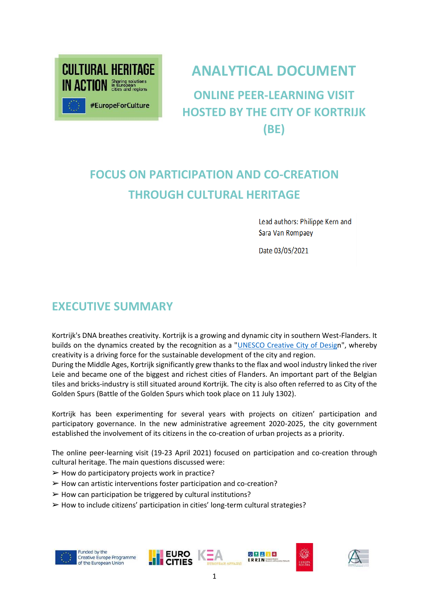

# **ANALYTICAL DOCUMENT**

**ONLINE PEER-LEARNING VISIT HOSTED BY THE CITY OF KORTRIJK (BE)**

# **FOCUS ON PARTICIPATION AND CO-CREATION THROUGH CULTURAL HERITAGE**

Lead authors: Philippe Kern and Sara Van Rompaey

Date 03/05/2021

## **EXECUTIVE SUMMARY**

Kortrijk's DNA breathes creativity. Kortrijk is a growing and dynamic city in southern West-Flanders. It builds on the dynamics created by the recognition as a ["UNESCO Creative City of Design](https://en.unesco.org/creative-cities/kortrijk)", whereby creativity is a driving force for the sustainable development of the city and region.

During the Middle Ages, Kortrijk significantly grew thanks to the flax and wool industry linked the river Leie and became one of the biggest and richest cities of Flanders. An important part of the Belgian tiles and bricks-industry is still situated around Kortrijk. The city is also often referred to as City of the Golden Spurs (Battle of the Golden Spurs which took place on 11 July 1302).

Kortrijk has been experimenting for several years with projects on citizen' participation and participatory governance. In the new administrative agreement 2020-2025, the city government established the involvement of its citizens in the co-creation of urban projects as a priority.

The online peer-learning visit (19-23 April 2021) focused on participation and co-creation through cultural heritage. The main questions discussed were:

- $\triangleright$  How do participatory projects work in practice?
- $\triangleright$  How can artistic interventions foster participation and co-creation?
- $\triangleright$  How can participation be triggered by cultural institutions?
- ➢ How to include citizens' participation in cities' long-term cultural strategies?

**EURO** 

**CITIES** 







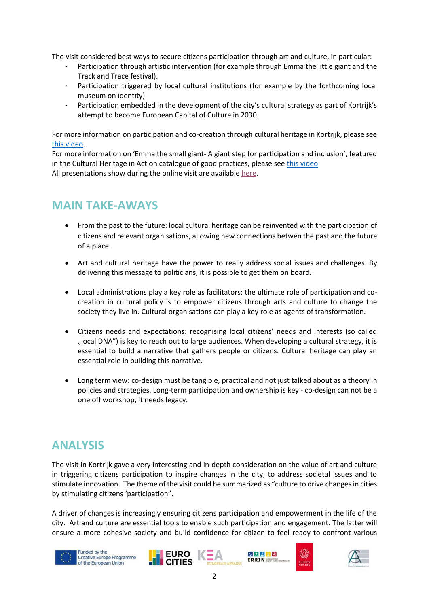The visit considered best ways to secure citizens participation through art and culture, in particular:

- Participation through artistic intervention (for example through Emma the little giant and the Track and Trace festival).
- Participation triggered by local cultural institutions (for example by the forthcoming local museum on identity).
- Participation embedded in the development of the city's cultural strategy as part of Kortrijk's attempt to become European Capital of Culture in 2030.

For more information on participation and co-creation through cultural heritage in Kortrijk, please see [this video.](https://youtu.be/lM1vx7ZKzWc)

For more information on 'Emma the small giant- A giant step for participation and inclusion', featured in the Cultural Heritage in Action catalogue of good practices, please see [this video.](https://youtu.be/AkUaEWHMeSA) All presentations show during the online visit are available [here.](https://drive.google.com/drive/folders/1KxyVLSUqEXT_4Em9lnCq-N2_gK76-zjb?usp=sharing)

# **MAIN TAKE-AWAYS**

- From the past to the future: local cultural heritage can be reinvented with the participation of citizens and relevant organisations, allowing new connections betwen the past and the future of a place.
- Art and cultural heritage have the power to really address social issues and challenges. By delivering this message to politicians, it is possible to get them on board.
- Local administrations play a key role as facilitators: the ultimate role of participation and cocreation in cultural policy is to empower citizens through arts and culture to change the society they live in. Cultural organisations can play a key role as agents of transformation.
- Citizens needs and expectations: recognising local citizens' needs and interests (so called "local DNA") is key to reach out to large audiences. When developing a cultural strategy, it is essential to build a narrative that gathers people or citizens. Cultural heritage can play an essential role in building this narrative.
- Long term view: co-design must be tangible, practical and not just talked about as a theory in policies and strategies. Long-term participation and ownership is key - co-design can not be a one off workshop, it needs legacy.

## **ANALYSIS**

The visit in Kortrijk gave a very interesting and in-depth consideration on the value of art and culture in triggering citizens participation to inspire changes in the city, to address societal issues and to stimulate innovation. The theme of the visit could be summarized as "culture to drive changes in cities by stimulating citizens 'participation".

A driver of changes is increasingly ensuring citizens participation and empowerment in the life of the city. Art and culture are essential tools to enable such participation and engagement. The latter will ensure a more cohesive society and build confidence for citizen to feel ready to confront various











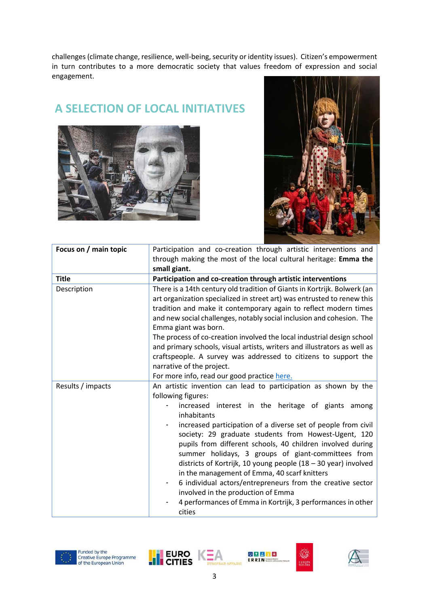challenges (climate change, resilience, well-being, security or identity issues). Citizen's empowerment in turn contributes to a more democratic society that values freedom of expression and social engagement.

### **A SELECTION OF LOCAL INITIATIVES**





| Focus on / main topic | Participation and co-creation through artistic interventions and                                                                                                                                                                                                                                                                                                                                                                                                                                                                                                                                                                                                                                                                                           |  |  |
|-----------------------|------------------------------------------------------------------------------------------------------------------------------------------------------------------------------------------------------------------------------------------------------------------------------------------------------------------------------------------------------------------------------------------------------------------------------------------------------------------------------------------------------------------------------------------------------------------------------------------------------------------------------------------------------------------------------------------------------------------------------------------------------------|--|--|
|                       | through making the most of the local cultural heritage: Emma the<br>small giant.                                                                                                                                                                                                                                                                                                                                                                                                                                                                                                                                                                                                                                                                           |  |  |
| <b>Title</b>          | Participation and co-creation through artistic interventions                                                                                                                                                                                                                                                                                                                                                                                                                                                                                                                                                                                                                                                                                               |  |  |
| Description           | There is a 14th century old tradition of Giants in Kortrijk. Bolwerk (an<br>art organization specialized in street art) was entrusted to renew this<br>tradition and make it contemporary again to reflect modern times<br>and new social challenges, notably social inclusion and cohesion. The<br>Emma giant was born.<br>The process of co-creation involved the local industrial design school<br>and primary schools, visual artists, writers and illustrators as well as<br>craftspeople. A survey was addressed to citizens to support the<br>narrative of the project.                                                                                                                                                                             |  |  |
| Results / impacts     | For more info, read our good practice here.<br>An artistic invention can lead to participation as shown by the<br>following figures:<br>increased interest in the heritage of giants<br>among<br>inhabitants<br>increased participation of a diverse set of people from civil<br>society: 29 graduate students from Howest-Ugent, 120<br>pupils from different schools, 40 children involved during<br>summer holidays, 3 groups of giant-committees from<br>districts of Kortrijk, 10 young people $(18 - 30$ year) involved<br>in the management of Emma, 40 scarf knitters<br>6 individual actors/entrepreneurs from the creative sector<br>involved in the production of Emma<br>4 performances of Emma in Kortrijk, 3 performances in other<br>cities |  |  |











AN APPAIRS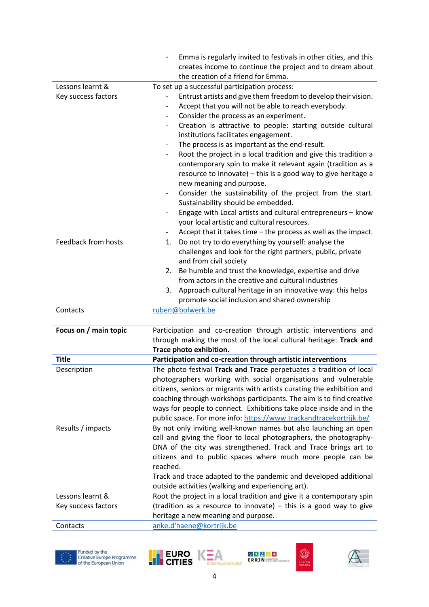|                     | Emma is regularly invited to festivals in other cities, and this<br>creates income to continue the project and to dream about<br>the creation of a friend for Emma. |  |  |
|---------------------|---------------------------------------------------------------------------------------------------------------------------------------------------------------------|--|--|
| Lessons learnt &    |                                                                                                                                                                     |  |  |
|                     | To set up a successful participation process:                                                                                                                       |  |  |
| Key success factors | Entrust artists and give them freedom to develop their vision.                                                                                                      |  |  |
|                     | Accept that you will not be able to reach everybody.                                                                                                                |  |  |
|                     | Consider the process as an experiment.<br>-                                                                                                                         |  |  |
|                     | Creation is attractive to people: starting outside cultural                                                                                                         |  |  |
|                     | institutions facilitates engagement.                                                                                                                                |  |  |
|                     | The process is as important as the end-result.                                                                                                                      |  |  |
|                     | Root the project in a local tradition and give this tradition a                                                                                                     |  |  |
|                     | contemporary spin to make it relevant again (tradition as a                                                                                                         |  |  |
|                     | resource to innovate) - this is a good way to give heritage a                                                                                                       |  |  |
|                     | new meaning and purpose.                                                                                                                                            |  |  |
|                     | Consider the sustainability of the project from the start.                                                                                                          |  |  |
|                     | Sustainability should be embedded.                                                                                                                                  |  |  |
|                     | Engage with Local artists and cultural entrepreneurs - know                                                                                                         |  |  |
|                     | your local artistic and cultural resources.                                                                                                                         |  |  |
|                     | Accept that it takes time - the process as well as the impact.                                                                                                      |  |  |
| Feedback from hosts | Do not try to do everything by yourself: analyse the<br>1.                                                                                                          |  |  |
|                     | challenges and look for the right partners, public, private                                                                                                         |  |  |
|                     | and from civil society                                                                                                                                              |  |  |
|                     | 2. Be humble and trust the knowledge, expertise and drive                                                                                                           |  |  |
|                     | from actors in the creative and cultural industries                                                                                                                 |  |  |
|                     | 3. Approach cultural heritage in an innovative way: this helps                                                                                                      |  |  |
|                     | promote social inclusion and shared ownership                                                                                                                       |  |  |
| Contacts            | ruben@bolwerk.be                                                                                                                                                    |  |  |
|                     |                                                                                                                                                                     |  |  |

| Focus on / main topic | Participation and co-creation through artistic interventions and<br>through making the most of the local cultural heritage: Track and<br>Trace photo exhibition.                                                                                                                                                                                                                                                                      |  |
|-----------------------|---------------------------------------------------------------------------------------------------------------------------------------------------------------------------------------------------------------------------------------------------------------------------------------------------------------------------------------------------------------------------------------------------------------------------------------|--|
| <b>Title</b>          | Participation and co-creation through artistic interventions                                                                                                                                                                                                                                                                                                                                                                          |  |
| Description           | The photo festival Track and Trace perpetuates a tradition of local<br>photographers working with social organisations and vulnerable<br>citizens, seniors or migrants with artists curating the exhibition and<br>coaching through workshops participants. The aim is to find creative<br>ways for people to connect. Exhibitions take place inside and in the<br>public space. For more info: https://www.trackandtracekortrijk.be/ |  |
| Results / impacts     | By not only inviting well-known names but also launching an open<br>call and giving the floor to local photographers, the photography-<br>DNA of the city was strengthened. Track and Trace brings art to<br>citizens and to public spaces where much more people can be<br>reached.<br>Track and trace adapted to the pandemic and developed additional<br>outside activities (walking and experiencing art).                        |  |
| Lessons learnt &      | Root the project in a local tradition and give it a contemporary spin                                                                                                                                                                                                                                                                                                                                                                 |  |
| Key success factors   | (tradition as a resource to innovate) $-$ this is a good way to give<br>heritage a new meaning and purpose.                                                                                                                                                                                                                                                                                                                           |  |
| Contacts              | anke.d'haene@kortrijk.be                                                                                                                                                                                                                                                                                                                                                                                                              |  |











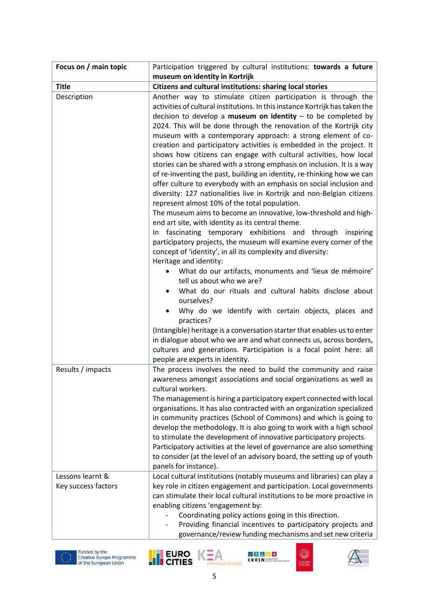| Focus on / main topic | Participation triggered by cultural institutions: towards a future                                                                                                                                                                                                                                                                                                                                                                                                                                                                                                                                                                                                                                                                                                                                                                                                                                                                                                                                                                                                                                                                                                                                                                                                                                                                                                                                                                                                                                                                                                                                                                                                                                                                          |  |
|-----------------------|---------------------------------------------------------------------------------------------------------------------------------------------------------------------------------------------------------------------------------------------------------------------------------------------------------------------------------------------------------------------------------------------------------------------------------------------------------------------------------------------------------------------------------------------------------------------------------------------------------------------------------------------------------------------------------------------------------------------------------------------------------------------------------------------------------------------------------------------------------------------------------------------------------------------------------------------------------------------------------------------------------------------------------------------------------------------------------------------------------------------------------------------------------------------------------------------------------------------------------------------------------------------------------------------------------------------------------------------------------------------------------------------------------------------------------------------------------------------------------------------------------------------------------------------------------------------------------------------------------------------------------------------------------------------------------------------------------------------------------------------|--|
|                       | museum on identity in Kortrijk                                                                                                                                                                                                                                                                                                                                                                                                                                                                                                                                                                                                                                                                                                                                                                                                                                                                                                                                                                                                                                                                                                                                                                                                                                                                                                                                                                                                                                                                                                                                                                                                                                                                                                              |  |
| <b>Title</b>          | Citizens and cultural institutions: sharing local stories                                                                                                                                                                                                                                                                                                                                                                                                                                                                                                                                                                                                                                                                                                                                                                                                                                                                                                                                                                                                                                                                                                                                                                                                                                                                                                                                                                                                                                                                                                                                                                                                                                                                                   |  |
| Description           | Another way to stimulate citizen participation is through the<br>activities of cultural institutions. In this instance Kortrijk has taken the<br>decision to develop a museum on identity $-$ to be completed by<br>2024. This will be done through the renovation of the Kortrijk city<br>museum with a contemporary approach: a strong element of co-<br>creation and participatory activities is embedded in the project. It<br>shows how citizens can engage with cultural activities, how local<br>stories can be shared with a strong emphasis on inclusion. It is a way<br>of re-inventing the past, building an identity, re-thinking how we can<br>offer culture to everybody with an emphasis on social inclusion and<br>diversity: 127 nationalities live in Kortrijk and non-Belgian citizens<br>represent almost 10% of the total population.<br>The museum aims to become an innovative, low-threshold and high-<br>end art site, with identity as its central theme.<br>In fascinating temporary exhibitions and through inspiring<br>participatory projects, the museum will examine every corner of the<br>concept of 'identity', in all its complexity and diversity:<br>Heritage and identity:<br>What do our artifacts, monuments and 'lieux de mémoire'<br>$\bullet$<br>tell us about who we are?<br>What do our rituals and cultural habits disclose about<br>$\bullet$<br>ourselves?<br>Why do we identify with certain objects, places and<br>practices?<br>(Intangible) heritage is a conversation starter that enables us to enter<br>in dialogue about who we are and what connects us, across borders,<br>cultures and generations. Participation is a focal point here: all<br>people are experts in identity. |  |
| Results / impacts     | The process involves the need to build the community and raise<br>awareness amongst associations and social organizations as well as<br>cultural workers.<br>The management is hiring a participatory expert connected with local<br>organisations. It has also contracted with an organization specialized<br>in community practices (School of Commons) and which is going to<br>develop the methodology. It is also going to work with a high school<br>to stimulate the development of innovative participatory projects.<br>Participatory activities at the level of governance are also something<br>to consider (at the level of an advisory board, the setting up of youth<br>panels for instance).                                                                                                                                                                                                                                                                                                                                                                                                                                                                                                                                                                                                                                                                                                                                                                                                                                                                                                                                                                                                                                 |  |
| Lessons learnt &      | Local cultural institutions (notably museums and libraries) can play a                                                                                                                                                                                                                                                                                                                                                                                                                                                                                                                                                                                                                                                                                                                                                                                                                                                                                                                                                                                                                                                                                                                                                                                                                                                                                                                                                                                                                                                                                                                                                                                                                                                                      |  |
| Key success factors   | key role in citizen engagement and participation. Local governments<br>can stimulate their local cultural institutions to be more proactive in<br>enabling citizens 'engagement by:<br>Coordinating policy actions going in this direction.<br>Providing financial incentives to participatory projects and<br>governance/review funding mechanisms and set new criteria                                                                                                                                                                                                                                                                                                                                                                                                                                                                                                                                                                                                                                                                                                                                                                                                                                                                                                                                                                                                                                                                                                                                                                                                                                                                                                                                                                    |  |





**BRACE** 

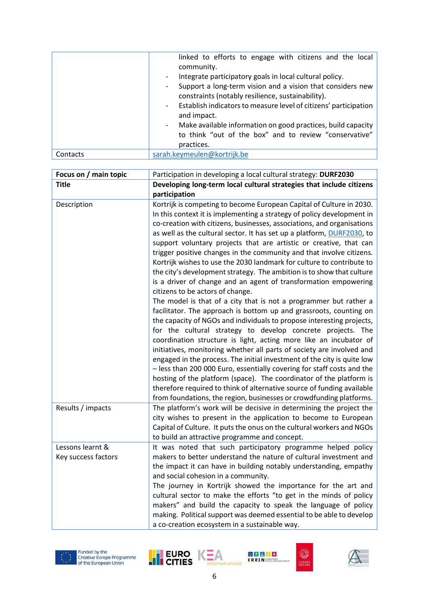|          | linked to efforts to engage with citizens and the local<br>community.<br>Integrate participatory goals in local cultural policy.<br>$\overline{\phantom{a}}$<br>Support a long-term vision and a vision that considers new<br>-<br>constraints (notably resilience, sustainability).<br>- Establish indicators to measure level of citizens' participation<br>and impact.<br>Make available information on good practices, build capacity<br>$\qquad \qquad -$<br>to think "out of the box" and to review "conservative"<br>practices. |  |
|----------|----------------------------------------------------------------------------------------------------------------------------------------------------------------------------------------------------------------------------------------------------------------------------------------------------------------------------------------------------------------------------------------------------------------------------------------------------------------------------------------------------------------------------------------|--|
| Contacts | sarah.keymeulen@kortrijk.be                                                                                                                                                                                                                                                                                                                                                                                                                                                                                                            |  |

| Focus on / main topic                   | Participation in developing a local cultural strategy: DURF2030                                                                                                                                                                                                                                                                                                                                                                                                                                                                                                                                                                                                                                                                                                                                                                                      |  |
|-----------------------------------------|------------------------------------------------------------------------------------------------------------------------------------------------------------------------------------------------------------------------------------------------------------------------------------------------------------------------------------------------------------------------------------------------------------------------------------------------------------------------------------------------------------------------------------------------------------------------------------------------------------------------------------------------------------------------------------------------------------------------------------------------------------------------------------------------------------------------------------------------------|--|
| <b>Title</b>                            | Developing long-term local cultural strategies that include citizens                                                                                                                                                                                                                                                                                                                                                                                                                                                                                                                                                                                                                                                                                                                                                                                 |  |
|                                         | participation                                                                                                                                                                                                                                                                                                                                                                                                                                                                                                                                                                                                                                                                                                                                                                                                                                        |  |
| Description                             | Kortrijk is competing to become European Capital of Culture in 2030.<br>In this context it is implementing a strategy of policy development in<br>co-creation with citizens, businesses, associations, and organisations<br>as well as the cultural sector. It has set up a platform, DURF2030, to<br>support voluntary projects that are artistic or creative, that can<br>trigger positive changes in the community and that involve citizens.<br>Kortrijk wishes to use the 2030 landmark for culture to contribute to<br>the city's development strategy. The ambition is to show that culture<br>is a driver of change and an agent of transformation empowering<br>citizens to be actors of change.<br>The model is that of a city that is not a programmer but rather a<br>facilitator. The approach is bottom up and grassroots, counting on |  |
|                                         | the capacity of NGOs and individuals to propose interesting projects,<br>for the cultural strategy to develop concrete projects. The<br>coordination structure is light, acting more like an incubator of<br>initiatives, monitoring whether all parts of society are involved and<br>engaged in the process. The initial investment of the city is quite low<br>- less than 200 000 Euro, essentially covering for staff costs and the<br>hosting of the platform (space). The coordinator of the platform is<br>therefore required to think of alternative source of funding available<br>from foundations, the region, businesses or crowdfunding platforms.                                                                                                                                                                                      |  |
| Results / impacts                       | The platform's work will be decisive in determining the project the<br>city wishes to present in the application to become to European<br>Capital of Culture. It puts the onus on the cultural workers and NGOs<br>to build an attractive programme and concept.                                                                                                                                                                                                                                                                                                                                                                                                                                                                                                                                                                                     |  |
| Lessons learnt &<br>Key success factors | It was noted that such participatory programme helped policy<br>makers to better understand the nature of cultural investment and<br>the impact it can have in building notably understanding, empathy<br>and social cohesion in a community.<br>The journey in Kortrijk showed the importance for the art and<br>cultural sector to make the efforts "to get in the minds of policy<br>makers" and build the capacity to speak the language of policy<br>making. Political support was deemed essential to be able to develop<br>a co-creation ecosystem in a sustainable way.                                                                                                                                                                                                                                                                      |  |







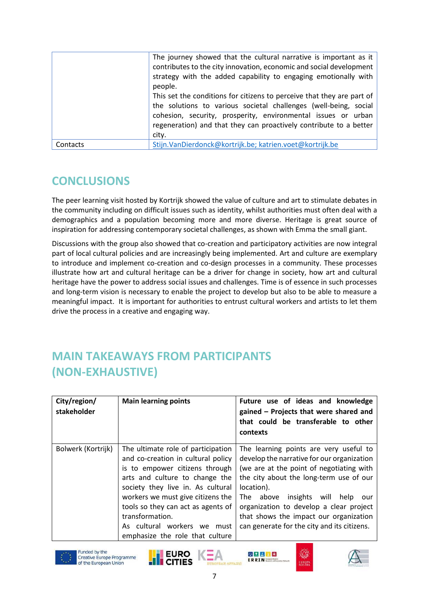|          | The journey showed that the cultural narrative is important as it<br>contributes to the city innovation, economic and social development |  |
|----------|------------------------------------------------------------------------------------------------------------------------------------------|--|
|          | strategy with the added capability to engaging emotionally with<br>people.                                                               |  |
|          | This set the conditions for citizens to perceive that they are part of                                                                   |  |
|          | the solutions to various societal challenges (well-being, social                                                                         |  |
|          | cohesion, security, prosperity, environmental issues or urban                                                                            |  |
|          | regeneration) and that they can proactively contribute to a better                                                                       |  |
|          | city.                                                                                                                                    |  |
| Contacts | Stijn. Van Dierdonck@kortrijk.be; katrien.voet@kortrijk.be                                                                               |  |

# **CONCLUSIONS**

The peer learning visit hosted by Kortrijk showed the value of culture and art to stimulate debates in the community including on difficult issues such as identity, whilst authorities must often deal with a demographics and a population becoming more and more diverse. Heritage is great source of inspiration for addressing contemporary societal challenges, as shown with Emma the small giant.

Discussions with the group also showed that co-creation and participatory activities are now integral part of local cultural policies and are increasingly being implemented. Art and culture are exemplary to introduce and implement co-creation and co-design processes in a community. These processes illustrate how art and cultural heritage can be a driver for change in society, how art and cultural heritage have the power to address social issues and challenges. Time is of essence in such processes and long-term vision is necessary to enable the project to develop but also to be able to measure a meaningful impact. It is important for authorities to entrust cultural workers and artists to let them drive the process in a creative and engaging way.

# **MAIN TAKEAWAYS FROM PARTICIPANTS (NON-EXHAUSTIVE)**

| City/region/<br>stakeholder | <b>Main learning points</b>                                                                                                                                                                                                                                                                                                                          | Future use of ideas and knowledge<br>gained - Projects that were shared and<br>that could be transferable to other<br>contexts                                                                                                                                                                                                                                             |
|-----------------------------|------------------------------------------------------------------------------------------------------------------------------------------------------------------------------------------------------------------------------------------------------------------------------------------------------------------------------------------------------|----------------------------------------------------------------------------------------------------------------------------------------------------------------------------------------------------------------------------------------------------------------------------------------------------------------------------------------------------------------------------|
| Bolwerk (Kortrijk)          | The ultimate role of participation<br>and co-creation in cultural policy<br>is to empower citizens through<br>arts and culture to change the<br>society they live in. As cultural<br>workers we must give citizens the<br>tools so they can act as agents of<br>transformation.<br>As cultural workers we<br>must<br>emphasize the role that culture | The learning points are very useful to<br>develop the narrative for our organization<br>(we are at the point of negotiating with<br>the city about the long-term use of our<br>location).<br>insights will<br>The above<br>help<br>our<br>organization to develop a clear project<br>that shows the impact our organization<br>can generate for the city and its citizens. |





**EURO** 

**CITIES** 



の記載日常

**FDDTN-**



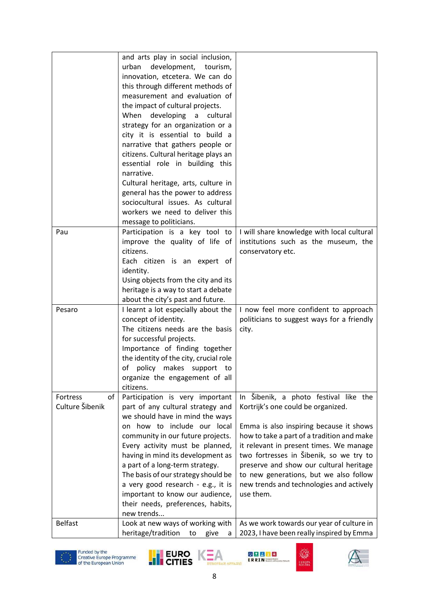|                 | and arts play in social inclusion,     |                                            |
|-----------------|----------------------------------------|--------------------------------------------|
|                 | urban<br>development, tourism,         |                                            |
|                 | innovation, etcetera. We can do        |                                            |
|                 | this through different methods of      |                                            |
|                 | measurement and evaluation of          |                                            |
|                 | the impact of cultural projects.       |                                            |
|                 | When developing a cultural             |                                            |
|                 | strategy for an organization or a      |                                            |
|                 | city it is essential to build a        |                                            |
|                 | narrative that gathers people or       |                                            |
|                 | citizens. Cultural heritage plays an   |                                            |
|                 | essential role in building this        |                                            |
|                 | narrative.                             |                                            |
|                 | Cultural heritage, arts, culture in    |                                            |
|                 | general has the power to address       |                                            |
|                 | sociocultural issues. As cultural      |                                            |
|                 | workers we need to deliver this        |                                            |
|                 | message to politicians.                |                                            |
| Pau             | Participation is a key tool to         | I will share knowledge with local cultural |
|                 | improve the quality of life of         | institutions such as the museum, the       |
|                 | citizens.                              | conservatory etc.                          |
|                 | Each citizen is an expert of           |                                            |
|                 | identity.                              |                                            |
|                 | Using objects from the city and its    |                                            |
|                 | heritage is a way to start a debate    |                                            |
|                 | about the city's past and future.      |                                            |
| Pesaro          | I learnt a lot especially about the    | I now feel more confident to approach      |
|                 | concept of identity.                   | politicians to suggest ways for a friendly |
|                 | The citizens needs are the basis       | city.                                      |
|                 | for successful projects.               |                                            |
|                 | Importance of finding together         |                                            |
|                 | the identity of the city, crucial role |                                            |
|                 | of<br>policy makes support<br>to       |                                            |
|                 | organize the engagement of all         |                                            |
|                 | citizens.                              |                                            |
| Fortress<br>of  | Participation is very important        | In Šibenik, a photo festival like the      |
| Culture Šibenik | part of any cultural strategy and      | Kortrijk's one could be organized.         |
|                 | we should have in mind the ways        |                                            |
|                 | on how to include our local            | Emma is also inspiring because it shows    |
|                 | community in our future projects.      | how to take a part of a tradition and make |
|                 | Every activity must be planned,        | it relevant in present times. We manage    |
|                 | having in mind its development as      | two fortresses in Šibenik, so we try to    |
|                 | a part of a long-term strategy.        | preserve and show our cultural heritage    |
|                 | The basis of our strategy should be    | to new generations, but we also follow     |
|                 | a very good research - e.g., it is     | new trends and technologies and actively   |
|                 | important to know our audience,        | use them.                                  |
|                 | their needs, preferences, habits,      |                                            |
|                 | new trends                             |                                            |
| <b>Belfast</b>  | Look at new ways of working with       | As we work towards our year of culture in  |
|                 | heritage/tradition<br>give<br>to<br>a  | 2023, I have been really inspired by Emma  |











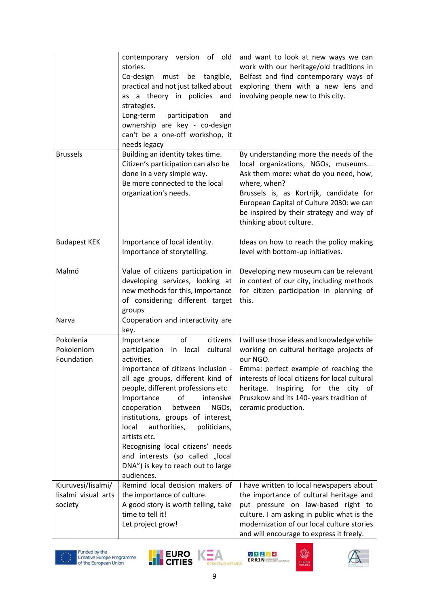|                                                      | contemporary version of old<br>stories.<br>Co-design<br>must<br>tangible,<br>be<br>practical and not just talked about<br>as a theory in policies<br>and<br>strategies.<br>Long-term<br>participation<br>and<br>ownership are key - co-design<br>can't be a one-off workshop, it<br>needs legacy                                                                                                                                                                                                   | and want to look at new ways we can<br>work with our heritage/old traditions in<br>Belfast and find contemporary ways of<br>exploring them with a new lens and<br>involving people new to this city.                                                                                                    |
|------------------------------------------------------|----------------------------------------------------------------------------------------------------------------------------------------------------------------------------------------------------------------------------------------------------------------------------------------------------------------------------------------------------------------------------------------------------------------------------------------------------------------------------------------------------|---------------------------------------------------------------------------------------------------------------------------------------------------------------------------------------------------------------------------------------------------------------------------------------------------------|
| <b>Brussels</b>                                      | Building an identity takes time.<br>Citizen's participation can also be<br>done in a very simple way.<br>Be more connected to the local<br>organization's needs.                                                                                                                                                                                                                                                                                                                                   | By understanding more the needs of the<br>local organizations, NGOs, museums<br>Ask them more: what do you need, how,<br>where, when?<br>Brussels is, as Kortrijk, candidate for<br>European Capital of Culture 2030: we can<br>be inspired by their strategy and way of<br>thinking about culture.     |
| <b>Budapest KEK</b>                                  | Importance of local identity.<br>Importance of storytelling.                                                                                                                                                                                                                                                                                                                                                                                                                                       | Ideas on how to reach the policy making<br>level with bottom-up initiatives.                                                                                                                                                                                                                            |
| Malmö                                                | Value of citizens participation in<br>developing services, looking at<br>new methods for this, importance<br>of considering different target<br>groups                                                                                                                                                                                                                                                                                                                                             | Developing new museum can be relevant<br>in context of our city, including methods<br>for citizen participation in planning of<br>this.                                                                                                                                                                 |
| Narva                                                | Cooperation and interactivity are<br>key.                                                                                                                                                                                                                                                                                                                                                                                                                                                          |                                                                                                                                                                                                                                                                                                         |
| Pokolenia<br>Pokoleniom<br>Foundation                | of<br>citizens<br>Importance<br>in local<br>cultural<br>participation<br>activities.<br>Importance of citizens inclusion -<br>all age groups, different kind of<br>people, different professions etc<br>intensive<br>of<br>Importance<br>cooperation<br>between<br>NGOs,<br>institutions, groups of interest,<br>authorities,<br>local<br>politicians,<br>artists etc.<br>Recognising local citizens' needs<br>and interests (so called "local<br>DNA") is key to reach out to large<br>audiences. | I will use those ideas and knowledge while<br>working on cultural heritage projects of<br>our NGO.<br>Emma: perfect example of reaching the<br>interests of local citizens for local cultural<br>heritage. Inspiring for the city of<br>Pruszkow and its 140- years tradition of<br>ceramic production. |
| Kiuruvesi/lisalmi/<br>lisalmi visual arts<br>society | Remind local decision makers of<br>the importance of culture.<br>A good story is worth telling, take<br>time to tell it!<br>Let project grow!                                                                                                                                                                                                                                                                                                                                                      | I have written to local newspapers about<br>the importance of cultural heritage and<br>put pressure on law-based right to<br>culture. I am asking in public what is the<br>modernization of our local culture stories<br>and will encourage to express it freely.                                       |











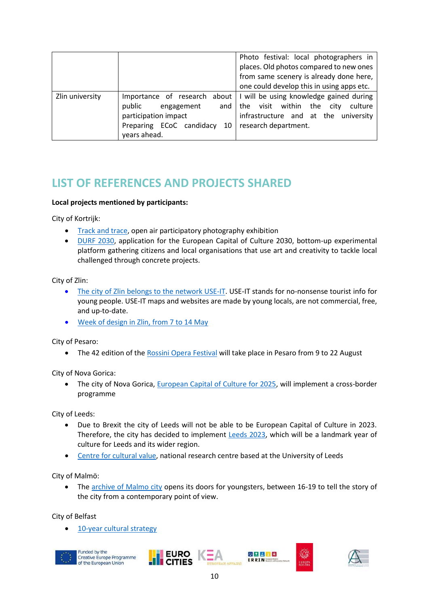|                 |                                                                                                                          | Photo festival: local photographers in<br>places. Old photos compared to new ones<br>from same scenery is already done here,<br>one could develop this in using apps etc. |
|-----------------|--------------------------------------------------------------------------------------------------------------------------|---------------------------------------------------------------------------------------------------------------------------------------------------------------------------|
| Zlin university | Importance of research<br>public<br>engagement<br>participation impact<br>Preparing ECoC candidacy<br>10<br>years ahead. | about   I will be using knowledge gained during<br>visit within the city<br>culture<br>and $ $ the<br>infrastructure and at the university<br>research department.        |

### **LIST OF REFERENCES AND PROJECTS SHARED**

### **Local projects mentioned by participants:**

City of Kortrijk:

- [Track and trace,](https://trackandtracekortrijk.be/) open air participatory photography exhibition
- [DURF 2030,](https://www.durf2030.eu/) application for the European Capital of Culture 2030, bottom-up experimental platform gathering citizens and local organisations that use art and creativity to tackle local challenged through concrete projects.

City of Zlin:

- [The city of Zlin belongs to the network USE-IT.](https://www.use-it.travel/cities/detail/zlin/) USE-IT stands for no-nonsense tourist info for young people. USE-IT maps and websites are made by young locals, are not commercial, free, and up-to-date.
- [Week of design in Zlin, from 7 to 14 May](https://www.zlindesignweek.com/)

City of Pesaro:

• The 42 edition of the [Rossini Opera Festival](https://www.rossinioperafestival.it/archivio-news/programma-del-rof-2021/) will take place in Pesaro from 9 to 22 August

City of Nova Gorica:

• The city of Nova Gorica, [European Capital of Culture for 2025,](https://euro-go.eu/en/programmi-e-progetti/capitale-europea-della-cultura-2025/) will implement a cross-border programme

City of Leeds:

- Due to Brexit the city of Leeds will not be able to be European Capital of Culture in 2023. Therefore, the city has decided to implement [Leeds 2023,](https://leeds2023.co.uk/about/) which will be a landmark year of culture for Leeds and its wider region.
- [Centre for cultural value,](https://www.culturalvalue.org.uk/about/) national research centre based at the University of Leeds

City of Malmö:

• The [archive of Malmo city](https://www.facebook.com/malmostad/videos/659458614668404) opens its doors for youngsters, between 16-19 to tell the story of the city from a contemporary point of view.

City of Belfast

[10-year cultural strategy](https://www.belfastcity.gov.uk/culture)



Funded by the Creative Europe Programme<br>of the European Union







EURO K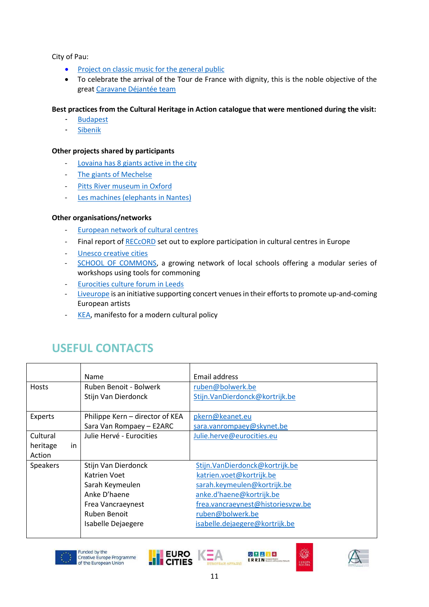City of Pau:

- [Project on classic music for the general public](https://www.sudouest.fr/2017/06/16/en-images-les-musiciens-de-l-oppb-se-produisent-dans-divers-quartiers-de-pau-3538258-4344.php?nic)
- To celebrate the arrival of the Tour de France with dignity, this is the noble objective of the grea[t Caravane Déjantée team](https://www.larepubliquedespyrenees.fr/2010/07/22/la-caravane-a-mouille-le-maillot,147820.php)

#### **Best practices from the Cultural Heritage in Action catalogue that were mentioned during the visit:**

- **[Budapest](https://nws.eurocities.eu/MediaShell/media/BUDAPEST_Budapest_100_community_festival.pdf)**
- [Sibenik](https://nws.eurocities.eu/MediaShell/media/SIBENIK_Revitalisation_of_Sibenik__s_fortresses.pdf)

#### **Other projects shared by participants**

- [Lovaina has 8 giants active in the city](https://www.erfgoedcelleuven.be/nl/tradities-en-feesten/reuzen)
- [The giants of Mechelse](https://reuzenmechelen.com/de-mechelse-reuzen/)
- [Pitts River museum in Oxford](https://www.prm.ox.ac.uk/critical-changes)
- [Les machines \(elephants in Nantes\)](https://www.lesmachines-nantes.fr/)

#### **Other organisations/networks**

- [European network of cultural centres](https://encc.eu/activities/projects/reccord)
- Final report of [RECcORD](https://encc.eu/resources/database/reccord-research-final-report) set out to explore participation in cultural centres in Europe
- [Unesco creative cities](https://en.unesco.org/creative-cities/home)
- [SCHOOL OF COMMONS,](https://schoolofcommons.be/) a growing network of local schools offering a modular series of workshops using tools for commoning
- [Eurocities culture forum in Leeds](https://eurocities.eu/latest/highlights-from-the-eurocities-culture-forum/)
- [Liveurope](https://liveurope.eu/who-we-are-and-what-we-do) is an initiative supporting concert venues in their efforts to promote up-and-coming European artists
- [KEA,](https://keanet.eu/manifesto-for-a-modern-cultural-policy/) manifesto for a modern cultural policy

### **USEFUL CONTACTS**

|                | Name                            | Email address                     |
|----------------|---------------------------------|-----------------------------------|
| <b>Hosts</b>   | Ruben Benoit - Bolwerk          | ruben@bolwerk.be                  |
|                | Stijn Van Dierdonck             | Stijn.VanDierdonck@kortrijk.be    |
|                |                                 |                                   |
| Experts        | Philippe Kern - director of KEA | pkern@keanet.eu                   |
|                | Sara Van Rompaey - E2ARC        | sara.vanrompaey@skynet.be         |
| Cultural       | Julie Hervé - Eurocities        | Julie.herve@eurocities.eu         |
| in<br>heritage |                                 |                                   |
| Action         |                                 |                                   |
| Speakers       | Stijn Van Dierdonck             | Stijn.VanDierdonck@kortrijk.be    |
|                | Katrien Voet                    | katrien.voet@kortrijk.be          |
|                | Sarah Keymeulen                 | sarah.keymeulen@kortrijk.be       |
|                | Anke D'haene                    | anke.d'haene@kortrijk.be          |
|                | Frea Vancraeynest               | frea.vancraeynest@historiesvzw.be |
|                | Ruben Benoit                    | ruben@bolwerk.be                  |
|                | Isabelle Dejaegere              | isabelle.dejaegere@kortrijk.be    |
|                |                                 |                                   |